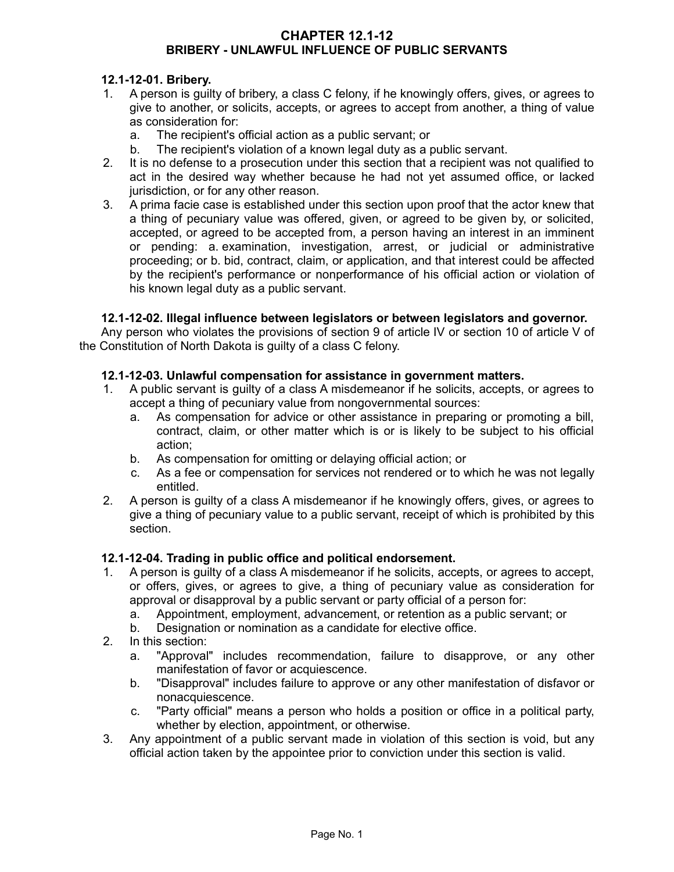### **CHAPTER 12.1-12 BRIBERY - UNLAWFUL INFLUENCE OF PUBLIC SERVANTS**

## **12.1-12-01. Bribery.**

- 1. A person is guilty of bribery, a class C felony, if he knowingly offers, gives, or agrees to give to another, or solicits, accepts, or agrees to accept from another, a thing of value as consideration for:
	- a. The recipient's official action as a public servant; or
	- b. The recipient's violation of a known legal duty as a public servant.
- 2. It is no defense to a prosecution under this section that a recipient was not qualified to act in the desired way whether because he had not yet assumed office, or lacked jurisdiction, or for any other reason.
- 3. A prima facie case is established under this section upon proof that the actor knew that a thing of pecuniary value was offered, given, or agreed to be given by, or solicited, accepted, or agreed to be accepted from, a person having an interest in an imminent or pending: a. examination, investigation, arrest, or judicial or administrative proceeding; or b. bid, contract, claim, or application, and that interest could be affected by the recipient's performance or nonperformance of his official action or violation of his known legal duty as a public servant.

## **12.1-12-02. Illegal influence between legislators or between legislators and governor.**

Any person who violates the provisions of section 9 of article IV or section 10 of article V of the Constitution of North Dakota is guilty of a class C felony.

## **12.1-12-03. Unlawful compensation for assistance in government matters.**

- 1. A public servant is guilty of a class A misdemeanor if he solicits, accepts, or agrees to accept a thing of pecuniary value from nongovernmental sources:
	- a. As compensation for advice or other assistance in preparing or promoting a bill, contract, claim, or other matter which is or is likely to be subject to his official action;
	- b. As compensation for omitting or delaying official action; or
	- c. As a fee or compensation for services not rendered or to which he was not legally entitled.
- 2. A person is guilty of a class A misdemeanor if he knowingly offers, gives, or agrees to give a thing of pecuniary value to a public servant, receipt of which is prohibited by this section.

#### **12.1-12-04. Trading in public office and political endorsement.**

- 1. A person is guilty of a class A misdemeanor if he solicits, accepts, or agrees to accept, or offers, gives, or agrees to give, a thing of pecuniary value as consideration for approval or disapproval by a public servant or party official of a person for:
	- a. Appointment, employment, advancement, or retention as a public servant; or
	- b. Designation or nomination as a candidate for elective office.
- 2. In this section:
	- a. "Approval" includes recommendation, failure to disapprove, or any other manifestation of favor or acquiescence.
	- b. "Disapproval" includes failure to approve or any other manifestation of disfavor or nonacquiescence.
	- c. "Party official" means a person who holds a position or office in a political party, whether by election, appointment, or otherwise.
- 3. Any appointment of a public servant made in violation of this section is void, but any official action taken by the appointee prior to conviction under this section is valid.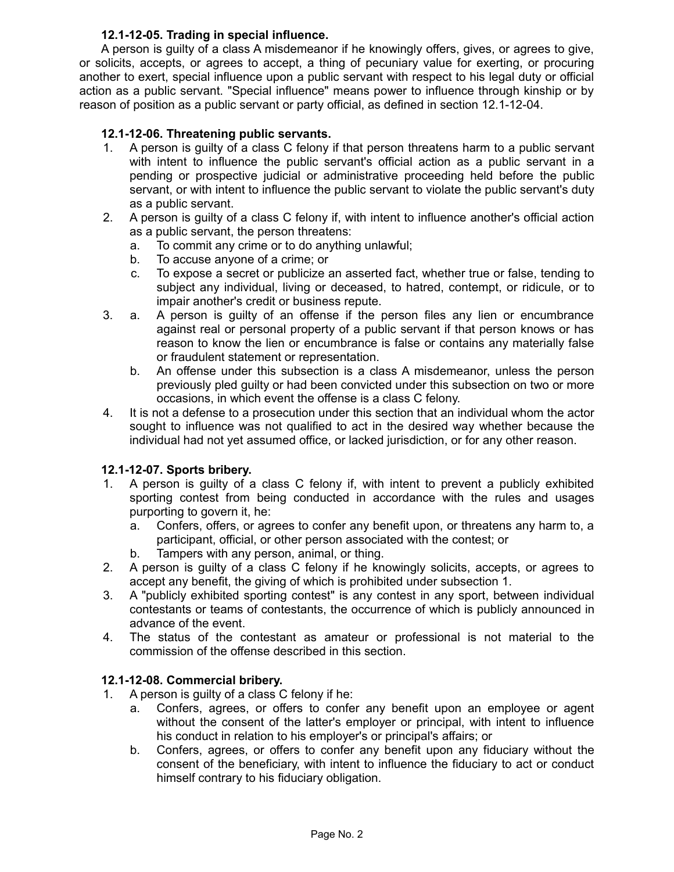# **12.1-12-05. Trading in special influence.**

A person is guilty of a class A misdemeanor if he knowingly offers, gives, or agrees to give, or solicits, accepts, or agrees to accept, a thing of pecuniary value for exerting, or procuring another to exert, special influence upon a public servant with respect to his legal duty or official action as a public servant. "Special influence" means power to influence through kinship or by reason of position as a public servant or party official, as defined in section 12.1-12-04.

# **12.1-12-06. Threatening public servants.**

- 1. A person is guilty of a class C felony if that person threatens harm to a public servant with intent to influence the public servant's official action as a public servant in a pending or prospective judicial or administrative proceeding held before the public servant, or with intent to influence the public servant to violate the public servant's duty as a public servant.
- 2. A person is guilty of a class C felony if, with intent to influence another's official action as a public servant, the person threatens:
	- a. To commit any crime or to do anything unlawful;
	- b. To accuse anyone of a crime; or
	- c. To expose a secret or publicize an asserted fact, whether true or false, tending to subject any individual, living or deceased, to hatred, contempt, or ridicule, or to impair another's credit or business repute.
- 3. a. A person is guilty of an offense if the person files any lien or encumbrance against real or personal property of a public servant if that person knows or has reason to know the lien or encumbrance is false or contains any materially false or fraudulent statement or representation.
	- b. An offense under this subsection is a class A misdemeanor, unless the person previously pled guilty or had been convicted under this subsection on two or more occasions, in which event the offense is a class C felony.
- 4. It is not a defense to a prosecution under this section that an individual whom the actor sought to influence was not qualified to act in the desired way whether because the individual had not yet assumed office, or lacked jurisdiction, or for any other reason.

## **12.1-12-07. Sports bribery.**

- 1. A person is guilty of a class C felony if, with intent to prevent a publicly exhibited sporting contest from being conducted in accordance with the rules and usages purporting to govern it, he:
	- a. Confers, offers, or agrees to confer any benefit upon, or threatens any harm to, a participant, official, or other person associated with the contest; or
	- b. Tampers with any person, animal, or thing.
- 2. A person is guilty of a class C felony if he knowingly solicits, accepts, or agrees to accept any benefit, the giving of which is prohibited under subsection 1.
- 3. A "publicly exhibited sporting contest" is any contest in any sport, between individual contestants or teams of contestants, the occurrence of which is publicly announced in advance of the event.
- 4. The status of the contestant as amateur or professional is not material to the commission of the offense described in this section.

## **12.1-12-08. Commercial bribery.**

- 1. A person is guilty of a class C felony if he:
	- a. Confers, agrees, or offers to confer any benefit upon an employee or agent without the consent of the latter's employer or principal, with intent to influence his conduct in relation to his employer's or principal's affairs; or
	- b. Confers, agrees, or offers to confer any benefit upon any fiduciary without the consent of the beneficiary, with intent to influence the fiduciary to act or conduct himself contrary to his fiduciary obligation.